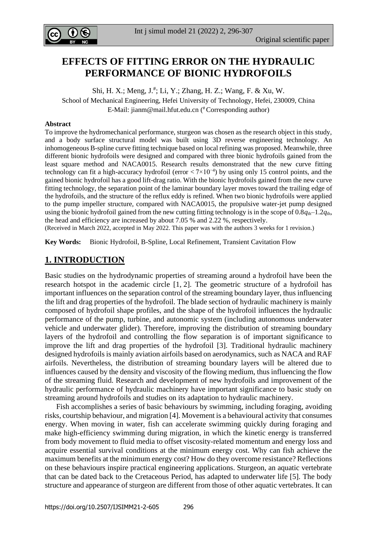

# **EFFECTS OF FITTING ERROR ON THE HYDRAULIC PERFORMANCE OF BIONIC HYDROFOILS**

Shi, H. X.; Meng, J.<sup>#</sup>; Li, Y.; Zhang, H. Z.; Wang, F. & Xu, W. School of Mechanical Engineering, Hefei University of Technology, Hefei, 230009, China E-Mail: [jianm@mail.hfut.edu.cn](mailto:jianm@mail.hfut.edu.cn) ( # Corresponding author)

### **Abstract**

To improve the hydromechanical performance, sturgeon was chosen as the research object in this study, and a body surface structural model was built using 3D reverse engineering technology. An inhomogeneous B-spline curve fitting technique based on local refining was proposed. Meanwhile, three different bionic hydrofoils were designed and compared with three bionic hydrofoils gained from the least square method and NACA0015. Research results demonstrated that the new curve fitting technology can fit a high-accuracy hydrofoil (error  $\langle 7 \times 10^{-4} \rangle$  by using only 15 control points, and the gained bionic hydrofoil has a good lift-drag ratio. With the bionic hydrofoils gained from the new curve fitting technology, the separation point of the laminar boundary layer moves toward the trailing edge of the hydrofoils, and the structure of the reflux eddy is refined. When two bionic hydrofoils were applied to the pump impeller structure, compared with NACA0015, the propulsive water-jet pump designed using the bionic hydrofoil gained from the new cutting fitting technology is in the scope of  $0.8q<sub>th</sub>-1.2q<sub>th</sub>$ , the head and efficiency are increased by about 7.05 % and 2.22 %, respectively.

(Received in March 2022, accepted in May 2022. This paper was with the authors 3 weeks for 1 revision.)

**Key Words:** Bionic Hydrofoil, B-Spline, Local Refinement, Transient Cavitation Flow

## **1. INTRODUCTION**

Basic studies on the hydrodynamic properties of streaming around a hydrofoil have been the research hotspot in the academic circle [1, 2]. The geometric structure of a hydrofoil has important influences on the separation control of the streaming boundary layer, thus influencing the lift and drag properties of the hydrofoil. The blade section of hydraulic machinery is mainly composed of hydrofoil shape profiles, and the shape of the hydrofoil influences the hydraulic performance of the pump, turbine, and autonomic system (including autonomous underwater vehicle and underwater glider). Therefore, improving the distribution of streaming boundary layers of the hydrofoil and controlling the flow separation is of important significance to improve the lift and drag properties of the hydrofoil [3]. Traditional hydraulic machinery designed hydrofoils is mainly aviation airfoils based on aerodynamics, such as NACA and RAF airfoils. Nevertheless, the distribution of streaming boundary layers will be altered due to influences caused by the density and viscosity of the flowing medium, thus influencing the flow of the streaming fluid. Research and development of new hydrofoils and improvement of the hydraulic performance of hydraulic machinery have important significance to basic study on streaming around hydrofoils and studies on its adaptation to hydraulic machinery.

 Fish accomplishes a series of basic behaviours by swimming, including foraging, avoiding risks, courtship behaviour, and migration [4]. Movement is a behavioural activity that consumes energy. When moving in water, fish can accelerate swimming quickly during foraging and make high-efficiency swimming during migration, in which the kinetic energy is transferred from body movement to fluid media to offset viscosity-related momentum and energy loss and acquire essential survival conditions at the minimum energy cost. Why can fish achieve the maximum benefits at the minimum energy cost? How do they overcome resistance? Reflections on these behaviours inspire practical engineering applications. Sturgeon, an aquatic vertebrate that can be dated back to the Cretaceous Period, has adapted to underwater life [5]. The body structure and appearance of sturgeon are different from those of other aquatic vertebrates. It can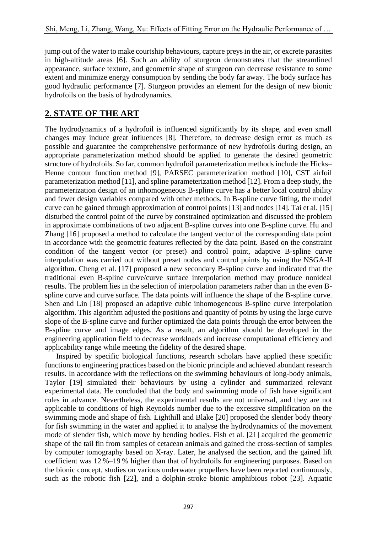jump out of the water to make courtship behaviours, capture preys in the air, or excrete parasites in high-altitude areas [6]. Such an ability of sturgeon demonstrates that the streamlined appearance, surface texture, and geometric shape of sturgeon can decrease resistance to some extent and minimize energy consumption by sending the body far away. The body surface has good hydraulic performance [7]. Sturgeon provides an element for the design of new bionic hydrofoils on the basis of hydrodynamics.

# **2. STATE OF THE ART**

The hydrodynamics of a hydrofoil is influenced significantly by its shape, and even small changes may induce great influences [8]. Therefore, to decrease design error as much as possible and guarantee the comprehensive performance of new hydrofoils during design, an appropriate parameterization method should be applied to generate the desired geometric structure of hydrofoils. So far, common hydrofoil parameterization methods include the Hicks– Henne contour function method [9], PARSEC parameterization method [10], CST airfoil parameterization method [11], and spline parameterization method [12]. From a deep study, the parameterization design of an inhomogeneous B-spline curve has a better local control ability and fewer design variables compared with other methods. In B-spline curve fitting, the model curve can be gained through approximation of control points [13] and nodes [14]. Tai et al. [15] disturbed the control point of the curve by constrained optimization and discussed the problem in approximate combinations of two adjacent B-spline curves into one B-spline curve. Hu and Zhang [16] proposed a method to calculate the tangent vector of the corresponding data point in accordance with the geometric features reflected by the data point. Based on the constraint condition of the tangent vector (or preset) and control point, adaptive B-spline curve interpolation was carried out without preset nodes and control points by using the NSGA-II algorithm. Cheng et al. [17] proposed a new secondary B-spline curve and indicated that the traditional even B-spline curve/curve surface interpolation method may produce nonideal results. The problem lies in the selection of interpolation parameters rather than in the even Bspline curve and curve surface. The data points will influence the shape of the B-spline curve. Shen and Lin [18] proposed an adaptive cubic inhomogeneous B-spline curve interpolation algorithm. This algorithm adjusted the positions and quantity of points by using the large curve slope of the B-spline curve and further optimized the data points through the error between the B-spline curve and image edges. As a result, an algorithm should be developed in the engineering application field to decrease workloads and increase computational efficiency and applicability range while meeting the fidelity of the desired shape.

 Inspired by specific biological functions, research scholars have applied these specific functions to engineering practices based on the bionic principle and achieved abundant research results. In accordance with the reflections on the swimming behaviours of long-body animals, Taylor [19] simulated their behaviours by using a cylinder and summarized relevant experimental data. He concluded that the body and swimming mode of fish have significant roles in advance. Nevertheless, the experimental results are not universal, and they are not applicable to conditions of high Reynolds number due to the excessive simplification on the swimming mode and shape of fish. Lighthill and Blake [20] proposed the slender body theory for fish swimming in the water and applied it to analyse the hydrodynamics of the movement mode of slender fish, which move by bending bodies. Fish et al. [21] acquired the geometric shape of the tail fin from samples of cetacean animals and gained the cross-section of samples by computer tomography based on X-ray. Later, he analysed the section, and the gained lift coefficient was 12 %–19 % higher than that of hydrofoils for engineering purposes. Based on the bionic concept, studies on various underwater propellers have been reported continuously, such as the robotic fish [22], and a dolphin-stroke bionic amphibious robot [23]. Aquatic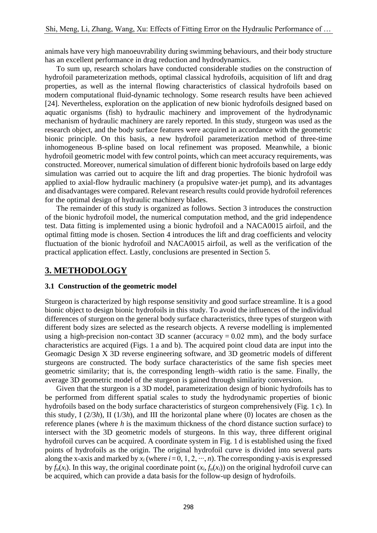animals have very high manoeuvrability during swimming behaviours, and their body structure has an excellent performance in drag reduction and hydrodynamics.

 To sum up, research scholars have conducted considerable studies on the construction of hydrofoil parameterization methods, optimal classical hydrofoils, acquisition of lift and drag properties, as well as the internal flowing characteristics of classical hydrofoils based on modern computational fluid-dynamic technology. Some research results have been achieved [24]. Nevertheless, exploration on the application of new bionic hydrofoils designed based on aquatic organisms (fish) to hydraulic machinery and improvement of the hydrodynamic mechanism of hydraulic machinery are rarely reported. In this study, sturgeon was used as the research object, and the body surface features were acquired in accordance with the geometric bionic principle. On this basis, a new hydrofoil parameterization method of three-time inhomogeneous B-spline based on local refinement was proposed. Meanwhile, a bionic hydrofoil geometric model with few control points, which can meet accuracy requirements, was constructed. Moreover, numerical simulation of different bionic hydrofoils based on large eddy simulation was carried out to acquire the lift and drag properties. The bionic hydrofoil was applied to axial-flow hydraulic machinery (a propulsive water-jet pump), and its advantages and disadvantages were compared. Relevant research results could provide hydrofoil references for the optimal design of hydraulic machinery blades.

 The remainder of this study is organized as follows. Section 3 introduces the construction of the bionic hydrofoil model, the numerical computation method, and the grid independence test. Data fitting is implemented using a bionic hydrofoil and a NACA0015 airfoil, and the optimal fitting mode is chosen. Section 4 introduces the lift and drag coefficients and velocity fluctuation of the bionic hydrofoil and NACA0015 airfoil, as well as the verification of the practical application effect. Lastly, conclusions are presented in Section 5.

# **3. METHODOLOGY**

## **3.1 Construction of the geometric model**

Sturgeon is characterized by high response sensitivity and good surface streamline. It is a good bionic object to design bionic hydrofoils in this study. To avoid the influences of the individual differences of sturgeon on the general body surface characteristics, three types of sturgeon with different body sizes are selected as the research objects. A reverse modelling is implemented using a high-precision non-contact 3D scanner (accuracy  $= 0.02$  mm), and the body surface characteristics are acquired (Figs. 1 a and b). The acquired point cloud data are input into the Geomagic Design X 3D reverse engineering software, and 3D geometric models of different sturgeons are constructed. The body surface characteristics of the same fish species meet geometric similarity; that is, the corresponding length–width ratio is the same. Finally, the average 3D geometric model of the sturgeon is gained through similarity conversion.

 Given that the sturgeon is a 3D model, parameterization design of bionic hydrofoils has to be performed from different spatial scales to study the hydrodynamic properties of bionic hydrofoils based on the body surface characteristics of sturgeon comprehensively (Fig. 1 c). In this study, I (2/3*h*), II (1/3*h*), and III the horizontal plane where (0) locates are chosen as the reference planes (where *h* is the maximum thickness of the chord distance suction surface) to intersect with the 3D geometric models of sturgeons. In this way, three different original hydrofoil curves can be acquired. A coordinate system in Fig. 1 d is established using the fixed points of hydrofoils as the origin. The original hydrofoil curve is divided into several parts along the x-axis and marked by  $x_i$  (where  $i = 0, 1, 2, \dots, n$ ). The corresponding y-axis is expressed by  $f_u(x_i)$ . In this way, the original coordinate point  $(x_i, f_u(x_i))$  on the original hydrofoil curve can be acquired, which can provide a data basis for the follow-up design of hydrofoils.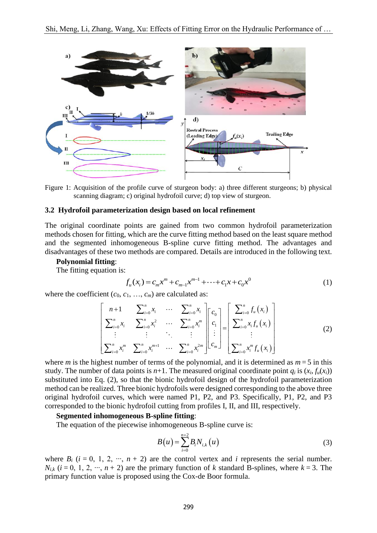

Figure 1: Acquisition of the profile curve of sturgeon body: a) three different sturgeons; b) physical scanning diagram; c) original hydrofoil curve; d) top view of sturgeon.

### **3.2 Hydrofoil parameterization design based on local refinement**

The original coordinate points are gained from two common hydrofoil parameterization methods chosen for fitting, which are the curve fitting method based on the least square method and the segmented inhomogeneous B-spline curve fitting method. The advantages and disadvantages of these two methods are compared. Details are introduced in the following text.

#### **Polynomial fitting**:

The fitting equation is:

$$
f_u(x_i) = c_m x^m + c_{m-1} x^{m-1} + \dots + c_1 x + c_0 x^0
$$
 (1)

where the coefficient  $(c_0, c_1, ..., c_m)$  are calculated as:

$$
\begin{bmatrix}\nn+1 & \sum_{i=0}^{n} x_i & \cdots & \sum_{i=0}^{n} x_i \\
\sum_{i=0}^{n} x_i & \sum_{i=0}^{n} x_i^2 & \cdots & \sum_{i=0}^{n} x_i^m \\
\vdots & \vdots & \ddots & \vdots \\
\sum_{i=0}^{n} x_i^m & \sum_{i=0}^{n} x_i^{m+1} & \cdots & \sum_{i=0}^{n} x_i^{2m}\n\end{bmatrix}\n\begin{bmatrix}\nc_0 \\
c_1 \\
\vdots \\
c_m\n\end{bmatrix}\n=\n\begin{bmatrix}\n\sum_{i=0}^{n} f_u(x_i) \\
\sum_{i=0}^{n} x_i f_u(x_i) \\
\vdots \\
\sum_{i=0}^{n} x_i^m f_u(x_i)\n\end{bmatrix}
$$
\n(2)

where *m* is the highest number of terms of the polynomial, and it is determined as  $m = 5$  in this study. The number of data points is  $n+1$ . The measured original coordinate point  $a_i$  is  $(x_i, f_i(x_i))$ substituted into Eq. (2), so that the bionic hydrofoil design of the hydrofoil parameterization method can be realized. Three bionic hydrofoils were designed corresponding to the above three original hydrofoil curves, which were named P1, P2, and P3. Specifically, P1, P2, and P3 corresponded to the bionic hydrofoil cutting from profiles I, II, and III, respectively.

#### **Segmented inhomogeneous B-spline fitting**:

The equation of the piecewise inhomogeneous B-spline curve is:

$$
B(u) = \sum_{i=0}^{n+2} B_i N_{i,k}(u)
$$
 (3)

where  $B_i$  ( $i = 0, 1, 2, \dots, n + 2$ ) are the control vertex and *i* represents the serial number. *N<sub>ik</sub>* ( $i = 0, 1, 2, \dots, n + 2$ ) are the primary function of *k* standard B-splines, where  $k = 3$ . The primary function value is proposed using the Cox-de Boor formula.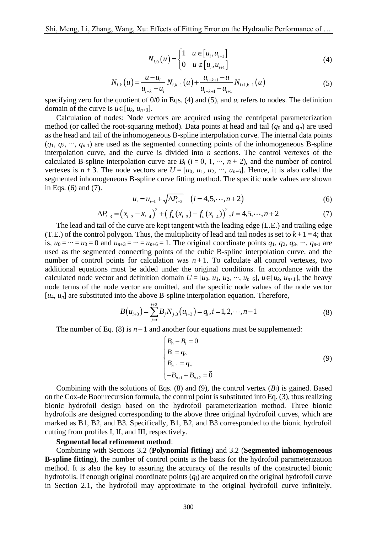$$
N_{i,0}(u) = \begin{cases} 1 & u \in [u_i, u_{i+1}] \\ 0 & u \notin [u_i, u_{i+1}] \end{cases}
$$
 (4)

$$
N_{i,k}(u) = \frac{u - u_i}{u_{i+k} - u_i} N_{i,k-1}(u) + \frac{u_{i+k+1} - u}{u_{i+k+1} - u_{i+1}} N_{i+1,k-1}(u)
$$
(5)

specifying zero for the quotient of  $0/0$  in Eqs. (4) and (5), and  $u_i$  refers to nodes. The definition domain of the curve is  $u \in [u_k, u_{n+3}]$ .

(*u*) =  $\begin{cases} x_1 \end{cases}$  =  $\begin{cases} N_{i,k-1}(u) \\ 0 \end{cases}$ <br>  $\begin{cases} N_{i,k-1}(u) \\ \end{cases}$  in Eqs. (4)<br>
in Eqs. (4)<br>
ors are acceptod). Da<br>
ous B-splir<br>
and connection is divided if<br>  $\begin{cases} y_1 \end{cases}$  is are  $B_i$  (*i*<br>  $\begin{cases} i \end{cases}$  in Eqs Calculation of nodes: Node vectors are acquired using the centripetal parameterization method (or called the root-squaring method). Data points at head and tail  $(q_0$  and  $q_n$ ) are used as the head and tail of the inhomogeneous B-spline interpolation curve. The internal data points (*q*1, *q*2, ∙∙∙, *qn-*1) are used as the segmented connecting points of the inhomogeneous B-spline interpolation curve, and the curve is divided into *n* sections. The control vertexes of the calculated B-spline interpolation curve are  $B_i$  ( $i = 0, 1, \dots, n + 2$ ), and the number of control vertexes is  $n + 3$ . The node vectors are  $U = [u_0, u_1, u_2, \dots, u_{n+6}]$ . Hence, it is also called the segmented inhomogeneous B-spline curve fitting method. The specific node values are shown in Eqs. (6) and (7).

$$
u_{i} = u_{i-1} + \sqrt{\Delta P_{i-3}} \quad (i = 4, 5, \cdots, n+2)
$$
\n
$$
u_{i-3} - x_{i-4} + \left(f_{u}(x_{i-3}) - f_{u}(x_{i-4})\right)^{2}, i = 4, 5, \cdots, n+2
$$
\n(6)

$$
u_{i} = u_{i-1} + \sqrt{\Delta P_{i-3}} \quad (i = 4, 5, \cdots, n+2)
$$
\n
$$
\Delta P_{i-3} = \left(x_{i-3} - x_{i-4}\right)^{2} + \left(f_{u}(x_{i-3}) - f_{u}(x_{i-4})\right)^{2}, i = 4, 5, \cdots, n+2
$$
\n(7)

 The lead and tail of the curve are kept tangent with the leading edge (L.E.) and trailing edge (T.E.) of the control polygon. Thus, the multiplicity of lead and tail nodes is set to  $k + 1 = 4$ ; that is,  $u_0 = \cdots = u_3 = 0$  and  $u_{n+3} = \cdots = u_{n+6} = 1$ . The original coordinate points  $q_1, q_2, q_3, \cdots, q_{n-1}$  are used as the segmented connecting points of the cubic B-spline interpolation curve, and the number of control points for calculation was  $n+1$ . To calculate all control vertexes, two additional equations must be added under the original conditions. In accordance with the calculated node vector and definition domain  $U = [u_0, u_1, u_2, \cdots, u_{n+6}]$ ,  $u \in [u_k, u_{n+1}]$ , the heavy node terms of the node vector are omitted, and the specific node values of the node vector  $[u_4, u_n]$  are substituted into the above B-spline interpolation equation. Therefore,

$$
B(u_{i+3}) = \sum_{j=i}^{i+2} B_j N_{j,3}(u_{i+3}) = q_i, i = 1, 2, \cdots, n-1
$$
\n(8)

The number of Eq. (8) is  $n-1$  and another four equations must be supplemented:

$$
\begin{cases}\nB_0 - B_1 = \vec{0} \\
B_1 = q_0 \\
B_{n+1} = q_n \\
-B_{n+1} + B_{n+2} = \vec{0}\n\end{cases}
$$
\n(9)

Combining with the solutions of Eqs. (8) and (9), the control vertex  $(B_i)$  is gained. Based on the Cox-de Boor recursion formula, the control point issubstituted into Eq. (3), thus realizing bionic hydrofoil design based on the hydrofoil parameterization method. Three bionic hydrofoils are designed corresponding to the above three original hydrofoil curves, which are marked as B1, B2, and B3. Specifically, B1, B2, and B3 corresponded to the bionic hydrofoil cutting from profiles I, II, and III, respectively.

#### **Segmental local refinement method**:

 Combining with Sections 3.2 (**Polynomial fitting**) and 3.2 (**Segmented inhomogeneous B-spline fitting**), the number of control points is the basis for the hydrofoil parameterization method. It is also the key to assuring the accuracy of the results of the constructed bionic hydrofoils. If enough original coordinate points (*qi*) are acquired on the original hydrofoil curve in Section 2.1, the hydrofoil may approximate to the original hydrofoil curve infinitely.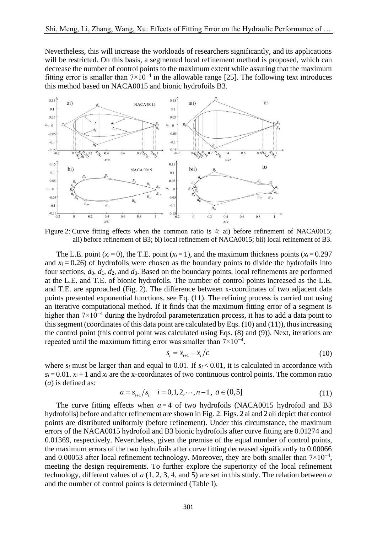Nevertheless, this will increase the workloads of researchers significantly, and its applications will be restricted. On this basis, a segmented local refinement method is proposed, which can decrease the number of control points to the maximum extent while assuring that the maximum fitting error is smaller than  $7 \times 10^{-4}$  in the allowable range [25]. The following text introduces this method based on NACA0015 and bionic hydrofoils B3.



Figure 2: Curve fitting effects when the common ratio is 4: ai) before refinement of NACA0015; aii) before refinement of B3; bi) local refinement of NACA0015; bii) local refinement of B3.

The L.E. point  $(x_i = 0)$ , the T.E. point  $(x_i = 1)$ , and the maximum thickness points  $(x_i = 0.297$ and  $x_i = 0.26$ ) of hydrofoils were chosen as the boundary points to divide the hydrofoils into four sections,  $d_0$ ,  $d_1$ ,  $d_2$ , and  $d_3$ . Based on the boundary points, local refinements are performed at the L.E. and T.E. of bionic hydrofoils. The number of control points increased as the L.E. and T.E. are approached (Fig. 2). The difference between x-coordinates of two adjacent data points presented exponential functions, see Eq. (11). The refining process is carried out using an iterative computational method. If it finds that the maximum fitting error of a segment is higher than 7×10<sup>-4</sup> during the hydrofoil parameterization process, it has to add a data point to this segment (coordinates of this data point are calculated by Eqs. (10) and (11)), thus increasing the control point (this control point was calculated using Eqs. (8) and (9)). Next, iterations are repeated until the maximum fitting error was smaller than  $7 \times 10^{-4}$ .

$$
s_i = x_{i+1} - x_i/c
$$
 (10)

where  $s_i$  must be larger than and equal to 0.01. If  $s_i < 0.01$ , it is calculated in accordance with  $s_i = 0.01$ .  $x_i + 1$  and  $x_i$  are the x-coordinates of two continuous control points. The common ratio (*a*) is defined as:

$$
a = s_{i+1}/s_i \quad i = 0, 1, 2, \cdots, n-1, \ a \in (0, 5]
$$
 (11)

The curve fitting effects when  $a=4$  of two hydrofoils (NACA0015 hydrofoil and B3 hydrofoils) before and after refinement are shown in Fig. 2. Figs. 2 ai and 2 aii depict that control points are distributed uniformly (before refinement). Under this circumstance, the maximum errors of the NACA0015 hydrofoil and B3 bionic hydrofoils after curve fitting are 0.01274 and 0.01369, respectively. Nevertheless, given the premise of the equal number of control points, the maximum errors of the two hydrofoils after curve fitting decreased significantly to 0.00066 and 0.00053 after local refinement technology. Moreover, they are both smaller than  $7\times10^{-4}$ , meeting the design requirements. To further explore the superiority of the local refinement technology, different values of *a* (1, 2, 3, 4, and 5) are set in this study. The relation between *a* and the number of control points is determined (Table I).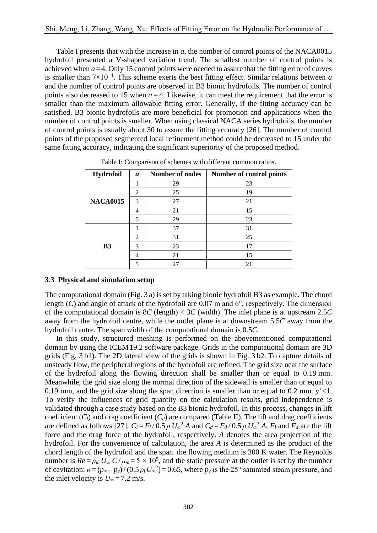Table I presents that with the increase in *a*, the number of control points of the NACA0015 hydrofoil presented a V-shaped variation trend. The smallest number of control points is achieved when  $a = 4$ . Only 15 control points were needed to assure that the fitting error of curves is smaller than 7×10−4 . This scheme exerts the best fitting effect. Similar relations between *a* and the number of control points are observed in B3 bionic hydrofoils. The number of control points also decreased to 15 when  $a = 4$ . Likewise, it can meet the requirement that the error is smaller than the maximum allowable fitting error. Generally, if the fitting accuracy can be satisfied, B3 bionic hydrofoils are more beneficial for promotion and applications when the number of control points is smaller. When using classical NACA series hydrofoils, the number of control points is usually about 30 to assure the fitting accuracy [26]. The number of control points of the proposed segmented local refinement method could be decreased to 15 under the same fitting accuracy, indicating the significant superiority of the proposed method.

| <b>Hydrofoil</b> | a             | <b>Number of nodes</b> | Number of control points |  |  |
|------------------|---------------|------------------------|--------------------------|--|--|
|                  |               | 29                     | 23                       |  |  |
| <b>NACA0015</b>  | 2             | 25                     | 19                       |  |  |
|                  | 3             | 27                     | 21                       |  |  |
|                  | 4             | 21                     | 15                       |  |  |
|                  | 5             | 29                     | 23                       |  |  |
| B <sub>3</sub>   |               | 37                     | 31                       |  |  |
|                  | $\mathcal{D}$ | 31                     | 25                       |  |  |
|                  | 3             | 23                     | 17                       |  |  |
|                  | 4             | 21                     | 15                       |  |  |
|                  | 5             | 27                     |                          |  |  |

Table I: Comparison of schemes with different common ratios.

## **3.3 Physical and simulation setup**

The computational domain (Fig. 3 a) is set by taking bionic hydrofoil B3 as example. The chord length  $(C)$  and angle of attack of the hydrofoil are 0.07 m and  $6^{\circ}$ , respectively. The dimension of the computational domain is 8*C* (length)  $\times$  3*C* (width). The inlet plane is at upstream 2.5*C* away from the hydrofoil centre, while the outlet plane is at downstream 5.5*C* away from the hydrofoil centre. The span width of the computational domain is 0.5*C*.

 In this study, structured meshing is performed on the abovementioned computational domain by using the ICEM19.2 software package. Grids in the computational domain are 3D grids (Fig. 3 b1). The 2D lateral view of the grids is shown in Fig. 3 b2. To capture details of unsteady flow, the peripheral regions of the hydrofoil are refined. The grid size near the surface of the hydrofoil along the flowing direction shall be smaller than or equal to 0.19 mm. Meanwhile, the grid size along the normal direction of the sidewall is smaller than or equal to 0.19 mm, and the grid size along the span direction is smaller than or equal to 0.2 mm.  $y^{\dagger}$  < 1. To verify the influences of grid quantity on the calculation results, grid independence is validated through a case study based on the B3 bionic hydrofoil. In this process, changes in lift coefficient  $(C_l)$  and drag coefficient  $(C_d)$  are compared (Table II). The lift and drag coefficients are defined as follows [27]:  $C_l = F_l/0.5 \rho U_{\infty}^2 A$  and  $C_d = F_d/0.5 \rho U_{\infty}^2 A$ ,  $F_l$  and  $F_d$  are the lift force and the drag force of the hydrofoil, respectively. *A* denotes the area projection of the hydrofoil. For the convenience of calculation, the area *A* is determined as the product of the chord length of the hydrofoil and the span. the flowing medium is 300 K water. The Reynolds number is  $Re = \rho_m U_\infty C / \mu_m = 5 \times 10^5$ , and the static pressure at the outlet is set by the number of cavitation:  $\sigma = (p_{\infty} - p_{\nu})/(0.5 \rho_l U_{\infty}^2) = 0.65$ , where  $p_{\nu}$  is the 25° saturated steam pressure, and the inlet velocity is  $U_{\infty} = 7.2$  m/s.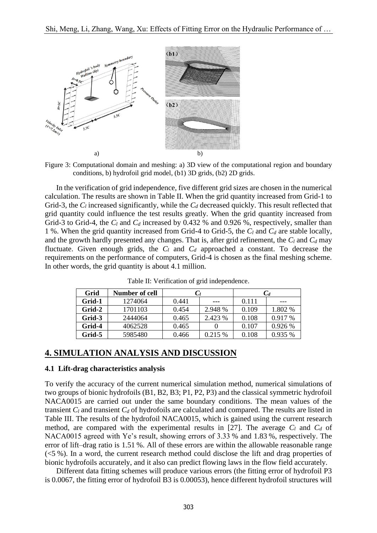

Figure 3: Computational domain and meshing: a) 3D view of the computational region and boundary conditions, b) hydrofoil grid model, (b1) 3D grids, (b2) 2D grids.

 In the verification of grid independence, five different grid sizes are chosen in the numerical calculation. The results are shown in Table II. When the grid quantity increased from Grid-1 to Grid-3, the  $C_l$  increased significantly, while the  $C_d$  decreased quickly. This result reflected that grid quantity could influence the test results greatly. When the grid quantity increased from Grid-3 to Grid-4, the  $C_l$  and  $C_d$  increased by 0.432 % and 0.926 %, respectively, smaller than 1 %. When the grid quantity increased from Grid-4 to Grid-5, the *C<sup>l</sup>* and *C<sup>d</sup>* are stable locally, and the growth hardly presented any changes. That is, after grid refinement, the  $C_l$  and  $C_d$  may fluctuate. Given enough grids, the  $C_l$  and  $C_d$  approached a constant. To decrease the requirements on the performance of computers, Grid-4 is chosen as the final meshing scheme. In other words, the grid quantity is about 4.1 million.

| Grid   | <b>Number of cell</b> | $C_l$ |         |       |           |  |
|--------|-----------------------|-------|---------|-------|-----------|--|
| Grid-1 | 1274064               | 0.441 | ---     | 0.111 |           |  |
| Grid-2 | 1701103               | 0.454 | 2.948 % | 0.109 | 1.802 %   |  |
| Grid-3 | 2444064               | 0.465 | 2.423 % | 0.108 | $0.917\%$ |  |
| Grid-4 | 4062528               | 0.465 |         | 0.107 | 0.926 %   |  |
| Grid-5 | 5985480               | 0.466 | 0.215%  | 0.108 | 0.935 %   |  |

Table II: Verification of grid independence.

## **4. SIMULATION ANALYSIS AND DISCUSSION**

## **4.1 Lift-drag characteristics analysis**

To verify the accuracy of the current numerical simulation method, numerical simulations of two groups of bionic hydrofoils (B1, B2, B3; P1, P2, P3) and the classical symmetric hydrofoil NACA0015 are carried out under the same boundary conditions. The mean values of the transient  $C_l$  and transient  $C_d$  of hydrofoils are calculated and compared. The results are listed in Table III. The results of the hydrofoil NACA0015, which is gained using the current research method, are compared with the experimental results in [27]. The average  $C_l$  and  $C_d$  of NACA0015 agreed with Ye's result, showing errors of 3.33 % and 1.83 %, respectively. The error of lift–drag ratio is 1.51 %. All of these errors are within the allowable reasonable range  $(<5\%$ ). In a word, the current research method could disclose the lift and drag properties of bionic hydrofoils accurately, and it also can predict flowing laws in the flow field accurately.

 Different data fitting schemes will produce various errors (the fitting error of hydrofoil P3 is 0.0067, the fitting error of hydrofoil B3 is 0.00053), hence different hydrofoil structures will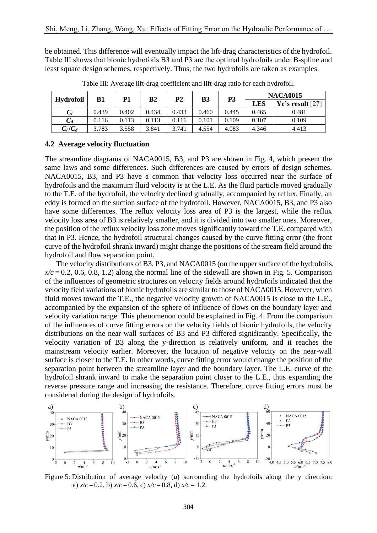be obtained. This difference will eventually impact the lift-drag characteristics of the hydrofoil. Table III shows that bionic hydrofoils B3 and P3 are the optimal hydrofoils under B-spline and least square design schemes, respectively. Thus, the two hydrofoils are taken as examples.

| <b>Hydrofoil</b> | B1    | Р1    | B <sub>2</sub> | <b>P2</b> | <b>B3</b> | P <sub>3</sub> | <b>NACA0015</b> |                    |
|------------------|-------|-------|----------------|-----------|-----------|----------------|-----------------|--------------------|
|                  |       |       |                |           |           |                | LES             | Ye's result $[27]$ |
| $C_l$            | 0.439 | 0.402 | 0.434          | 0.433     | 0.460     | 0.445          | 0.465           | 0.481              |
| $C_d$            | 0.116 | 0.113 | 0.113          | 0.116     | 0.101     | 0.109          | 0.107           | 0.109              |
| $C_l/C_d$        | 3.783 | 3.558 | 3.841          | 3.741     | 4.554     | 4.083          | 4.346           | 4.413              |

Table III: Average lift-drag coefficient and lift-drag ratio for each hydrofoil.

### **4.2 Average velocity fluctuation**

The streamline diagrams of NACA0015, B3, and P3 are shown in Fig. 4, which present the same laws and some differences. Such differences are caused by errors of design schemes. NACA0015, B3, and P3 have a common that velocity loss occurred near the surface of hydrofoils and the maximum fluid velocity is at the L.E. As the fluid particle moved gradually to the T.E. of the hydrofoil, the velocity declined gradually, accompanied by reflux. Finally, an eddy is formed on the suction surface of the hydrofoil. However, NACA0015, B3, and P3 also have some differences. The reflux velocity loss area of P3 is the largest, while the reflux velocity loss area of B3 is relatively smaller, and it is divided into two smaller ones. Moreover, the position of the reflux velocity loss zone moves significantly toward the T.E. compared with that in P3. Hence, the hydrofoil structural changes caused by the curve fitting error (the front curve of the hydrofoil shrank inward) might change the positions of the stream field around the hydrofoil and flow separation point.

 The velocity distributions of B3, P3, and NACA0015 (on the upper surface of the hydrofoils,  $x/c = 0.2, 0.6, 0.8, 1.2$  along the normal line of the sidewall are shown in Fig. 5. Comparison of the influences of geometric structures on velocity fields around hydrofoils indicated that the velocity field variations of bionic hydrofoils are similar to those of NACA0015. However, when fluid moves toward the T.E., the negative velocity growth of NACA0015 is close to the L.E., accompanied by the expansion of the sphere of influence of flows on the boundary layer and velocity variation range. This phenomenon could be explained in Fig. 4. From the comparison of the influences of curve fitting errors on the velocity fields of bionic hydrofoils, the velocity distributions on the near-wall surfaces of B3 and P3 differed significantly. Specifically, the velocity variation of B3 along the y-direction is relatively uniform, and it reaches the mainstream velocity earlier. Moreover, the location of negative velocity on the near-wall surface is closer to the T.E. In other words, curve fitting error would change the position of the separation point between the streamline layer and the boundary layer. The L.E. curve of the hydrofoil shrank inward to make the separation point closer to the L.E., thus expanding the reverse pressure range and increasing the resistance. Therefore, curve fitting errors must be considered during the design of hydrofoils.



Figure 5: Distribution of average velocity (*u*) surrounding the hydrofoils along the y direction: a)  $x/c = 0.2$ , b)  $x/c = 0.6$ , c)  $x/c = 0.8$ , d)  $x/c = 1.2$ .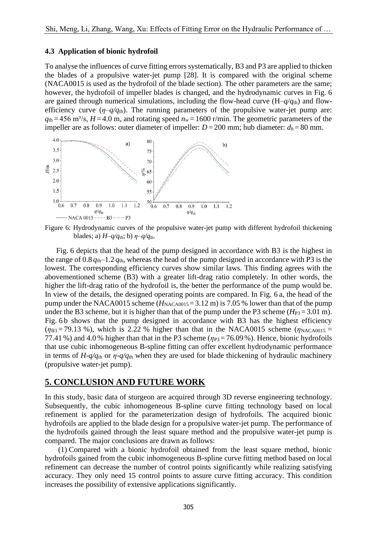### **4.3 Application of bionic hydrofoil**

To analyse the influences of curve fitting errors systematically, B3 and P3 are applied to thicken the blades of a propulsive water-jet pump [28]. It is compared with the original scheme (NACA0015 is used as the hydrofoil of the blade section). The other parameters are the same; however, the hydrofoil of impeller blades is changed, and the hydrodynamic curves in Fig. 6 are gained through numerical simulations, including the flow-head curve  $(H-q/q<sub>th</sub>)$  and flowefficiency curve  $(\eta - q/q_{\text{th}})$ . The running parameters of the propulsive water-jet pump are:  $q_{th} = 456$  m<sup>3</sup>/s,  $H = 4.0$  m, and rotating speed  $n_w = 1600$  r/min. The geometric parameters of the impeller are as follows: outer diameter of impeller:  $D = 200$  mm; hub diameter:  $d_h = 80$  mm.



Figure 6: Hydrodynamic curves of the propulsive water-jet pump with different hydrofoil thickening blades; a)  $H-q/q_{\text{th}}$ ; b)  $\eta-q/q_{\text{th}}$ .

 Fig. 6 depicts that the head of the pump designed in accordance with B3 is the highest in the range of  $0.8 q_{th}$ –1.2  $q_{th}$ , whereas the head of the pump designed in accordance with P3 is the lowest. The corresponding efficiency curves show similar laws. This finding agrees with the abovementioned scheme (B3) with a greater lift-drag ratio completely. In other words, the higher the lift-drag ratio of the hydrofoil is, the better the performance of the pump would be. In view of the details, the designed operating points are compared. In Fig. 6 a, the head of the pump under the NACA0015 scheme  $(H_{NACA0015} = 3.12 \text{ m})$  is 7.05 % lower than that of the pump under the B3 scheme, but it is higher than that of the pump under the P3 scheme  $(H_{P3} = 3.01 \text{ m})$ . Fig. 6b shows that the pump designed in accordance with B3 has the highest efficiency  $(\eta_{\text{B3}} = 79.13 \%)$ , which is 2.22 % higher than that in the NACA0015 scheme ( $\eta_{\text{NACA0015}} =$ 77.41 %) and 4.0 % higher than that in the P3 scheme ( $\eta_{P3} = 76.09$  %). Hence, bionic hydrofoils that use cubic inhomogeneous B-spline fitting can offer excellent hydrodynamic performance in terms of  $H-q/q$ <sup>th</sup> or  $\eta$ -q/q<sup>th</sup> when they are used for blade thickening of hydraulic machinery (propulsive water-jet pump).

## **5. CONCLUSION AND FUTURE WORK**

In this study, basic data of sturgeon are acquired through 3D reverse engineering technology. Subsequently, the cubic inhomogeneous B-spline curve fitting technology based on local refinement is applied for the parameterization design of hydrofoils. The acquired bionic hydrofoils are applied to the blade design for a propulsive water-jet pump. The performance of the hydrofoils gained through the least square method and the propulsive water-jet pump is compared. The major conclusions are drawn as follows:

 (1) Compared with a bionic hydrofoil obtained from the least square method, bionic hydrofoils gained from the cubic inhomogeneous B-spline curve fitting method based on local refinement can decrease the number of control points significantly while realizing satisfying accuracy. They only need 15 control points to assure curve fitting accuracy. This condition increases the possibility of extensive applications significantly.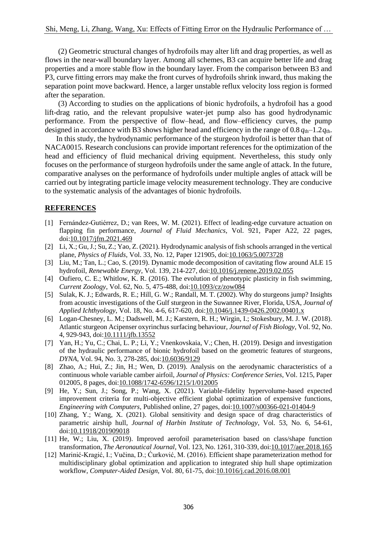(2) Geometric structural changes of hydrofoils may alter lift and drag properties, as well as flows in the near-wall boundary layer. Among all schemes, B3 can acquire better life and drag properties and a more stable flow in the boundary layer. From the comparison between B3 and P3, curve fitting errors may make the front curves of hydrofoils shrink inward, thus making the separation point move backward. Hence, a larger unstable reflux velocity loss region is formed after the separation.

 (3) According to studies on the applications of bionic hydrofoils, a hydrofoil has a good lift-drag ratio, and the relevant propulsive water-jet pump also has good hydrodynamic performance. From the perspective of flow–head, and flow–efficiency curves, the pump designed in accordance with B3 shows higher head and efficiency in the range of  $0.8 q_{th}$ –1.2 $q_{th}$ .

 In this study, the hydrodynamic performance of the sturgeon hydrofoil is better than that of NACA0015. Research conclusions can provide important references for the optimization of the head and efficiency of fluid mechanical driving equipment. Nevertheless, this study only focuses on the performance of sturgeon hydrofoils under the same angle of attack. In the future, comparative analyses on the performance of hydrofoils under multiple angles of attack will be carried out by integrating particle image velocity measurement technology. They are conducive to the systematic analysis of the advantages of bionic hydrofoils.

## **REFERENCES**

- [1] Fernández-Gutiérrez, D.; van Rees, W. M. (2021). Effect of leading-edge curvature actuation on flapping fin performance, *Journal of Fluid Mechanics*, Vol. 921, Paper A22, 22 pages, doi[:10.1017/jfm.2021.469](https://doi.org/10.1017/jfm.2021.469)
- [2] Li, X.; Gu, J.; Su, Z.; Yao, Z. (2021). Hydrodynamic analysis of fish schools arranged in the vertical plane, *Physics of Fluids*, Vol. 33, No. 12, Paper 121905, doi[:10.1063/5.0073728](https://doi.org/10.1063/5.0073728)
- [3] Liu, M.; Tan, L.; Cao, S. (2019). Dynamic mode decomposition of cavitating flow around ALE 15 hydrofoil, *Renewable Energy*, Vol. 139, 214-227, doi[:10.1016/j.renene.2019.02.055](https://doi.org/10.1016/j.renene.2019.02.055)
- [4] Oufiero, C. E.; Whitlow, K. R. (2016). The evolution of phenotypic plasticity in fish swimming, *Current Zoology*, Vol. 62, No. 5, 475-488, doi[:10.1093/cz/zow084](https://doi.org/10.1093/cz/zow084)
- [5] Sulak, K. J.; Edwards, R. E.; Hill, G. W.; Randall, M. T. (2002). Why do sturgeons jump? Insights from acoustic investigations of the Gulf sturgeon in the Suwannee River, Florida, USA, *Journal of Applied Ichthyology*, Vol. 18, No. 4-6, 617-620, doi[:10.1046/j.1439-0426.2002.00401.x](https://doi.org/10.1046/j.1439-0426.2002.00401.x)
- [6] Logan-Chesney, L. M.; Dadswell, M. J.; Karstern, R. H.; Wirgin, I.; Stokesbury, M. J. W. (2018). Atlantic sturgeon Acipenser oxyrinchus surfacing behaviour, *Journal of Fish Biology*, Vol. 92, No. 4, 929-943, doi[:10.1111/jfb.13552](https://doi.org/10.1111/jfb.13552)
- [7] Yan, H.; Yu, C.; Chai, L. P.; Li, Y.; Vnenkovskaia, V.; Chen, H. (2019). Design and investigation of the hydraulic performance of bionic hydrofoil based on the geometric features of sturgeons, *DYNA*, Vol. 94, No. 3, 278-285, doi[:10.6036/9129](https://doi.org/10.6036/9129)
- [8] Zhao, A.; Hui, Z.; Jin, H.; Wen, D. (2019). Analysis on the aerodynamic characteristics of a continuous whole variable camber airfoil, *Journal of Physics: Conference Series*, Vol. 1215, Paper 012005, 8 pages, doi[:10.1088/1742-6596/1215/1/012005](https://doi.org/10.1088/1742-6596/1215/1/012005)
- [9] He, Y.; Sun, J.; Song, P.; Wang, X. (2021). Variable-fidelity hypervolume-based expected improvement criteria for multi-objective efficient global optimization of expensive functions, *Engineering with Computers*, Published online, 27 pages, doi[:10.1007/s00366-021-01404-9](https://doi.org/10.1007/s00366-021-01404-9)
- [10] Zhang, Y.; Wang, X. (2021). Global sensitivity and design space of drag characteristics of parametric airship hull, *Journal of Harbin Institute of Technology*, Vol. 53, No. 6, 54-61, doi[:10.11918/201909018](https://doi.org/10.11918/201909018)
- [11] He, W.; Liu, X. (2019). Improved aerofoil parameterisation based on class/shape function transformation, *The Aeronautical Journal*, Vol. 123, No. 1261, 310-339, doi[:10.1017/aer.2018.165](https://doi.org/10.1017/aer.2018.165)
- [12] Marinić-Kragić, I.; Vučina, D.; Ćurković, M. (2016). Efficient shape parameterization method for multidisciplinary global optimization and application to integrated ship hull shape optimization workflow, *Computer-Aided Design*, Vol. 80, 61-75, doi[:10.1016/j.cad.2016.08.001](https://doi.org/10.1016/j.cad.2016.08.001)